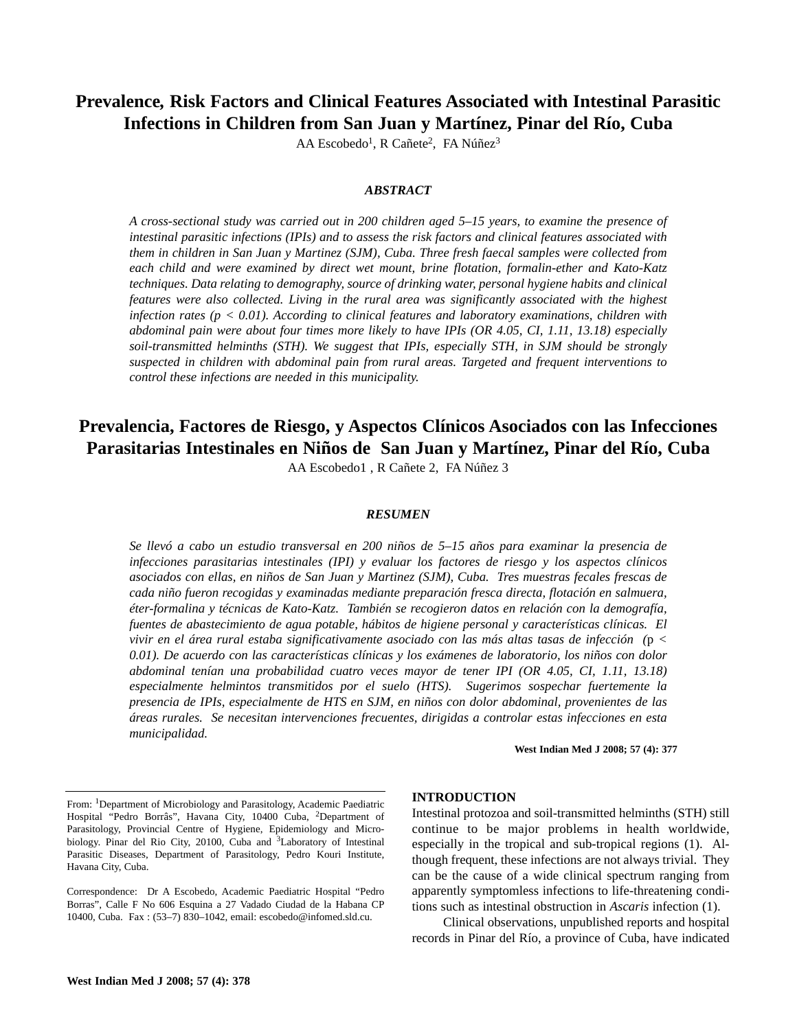# **Prevalence***,* **Risk Factors and Clinical Features Associated with Intestinal Parasitic Infections in Children from San Juan y Martínez, Pinar del Río, Cuba**

AA Escobedo<sup>1</sup>, R Cañete<sup>2</sup>, FA Núñez<sup>3</sup>

#### *ABSTRACT*

*A cross-sectional study was carried out in 200 children aged 5–15 years, to examine the presence of intestinal parasitic infections (IPIs) and to assess the risk factors and clinical features associated with them in children in San Juan y Martinez (SJM), Cuba. Three fresh faecal samples were collected from each child and were examined by direct wet mount, brine flotation, formalin-ether and Kato-Katz techniques. Data relating to demography, source of drinking water, personal hygiene habits and clinical features were also collected. Living in the rural area was significantly associated with the highest infection rates (p < 0.01). According to clinical features and laboratory examinations, children with abdominal pain were about four times more likely to have IPIs (OR 4.05, CI, 1.11, 13.18) especially soil-transmitted helminths (STH). We suggest that IPIs, especially STH, in SJM should be strongly suspected in children with abdominal pain from rural areas. Targeted and frequent interventions to control these infections are needed in this municipality.*

# **Prevalencia, Factores de Riesgo, y Aspectos Clínicos Asociados con las Infecciones Parasitarias Intestinales en Niños de San Juan y Martínez, Pinar del Río, Cuba**

AA Escobedo1 , R Cañete 2, FA Núñez 3

## *RESUMEN*

*Se llevó a cabo un estudio transversal en 200 niños de 5–15 años para examinar la presencia de infecciones parasitarias intestinales (IPI) y evaluar los factores de riesgo y los aspectos clínicos asociados con ellas, en niños de San Juan y Martinez (SJM), Cuba. Tres muestras fecales frescas de cada niño fueron recogidas y examinadas mediante preparación fresca directa, flotación en salmuera, éter-formalina y técnicas de Kato-Katz. También se recogieron datos en relación con la demografía, fuentes de abastecimiento de agua potable, hábitos de higiene personal y características clínicas. El vivir en el área rural estaba significativamente asociado con las más altas tasas de infección (*p *< 0.01). De acuerdo con las características clínicas y los exámenes de laboratorio, los niños con dolor abdominal tenían una probabilidad cuatro veces mayor de tener IPI (OR 4.05, CI, 1.11, 13.18) especialmente helmintos transmitidos por el suelo (HTS). Sugerimos sospechar fuertemente la presencia de IPIs, especialmente de HTS en SJM, en niños con dolor abdominal, provenientes de las áreas rurales. Se necesitan intervenciones frecuentes, dirigidas a controlar estas infecciones en esta municipalidad.*

**West Indian Med J 2008; 57 (4): 377**

#### **INTRODUCTION**

Intestinal protozoa and soil-transmitted helminths (STH) still continue to be major problems in health worldwide, especially in the tropical and sub-tropical regions (1). Although frequent, these infections are not always trivial. They can be the cause of a wide clinical spectrum ranging from apparently symptomless infections to life-threatening conditions such as intestinal obstruction in *Ascaris* infection (1).

Clinical observations, unpublished reports and hospital records in Pinar del Río, a province of Cuba, have indicated

From: 1Department of Microbiology and Parasitology, Academic Paediatric Hospital "Pedro Borrâs", Havana City, 10400 Cuba, 2Department of Parasitology, Provincial Centre of Hygiene, Epidemiology and Microbiology. Pinar del Rio City, 20100, Cuba and <sup>3</sup>Laboratory of Intestinal Parasitic Diseases, Department of Parasitology, Pedro Kouri Institute, Havana City, Cuba.

Correspondence: Dr A Escobedo, Academic Paediatric Hospital "Pedro Borras", Calle F No 606 Esquina a 27 Vadado Ciudad de la Habana CP 10400, Cuba. Fax : (53–7) 830–1042, email: escobedo@infomed.sld.cu.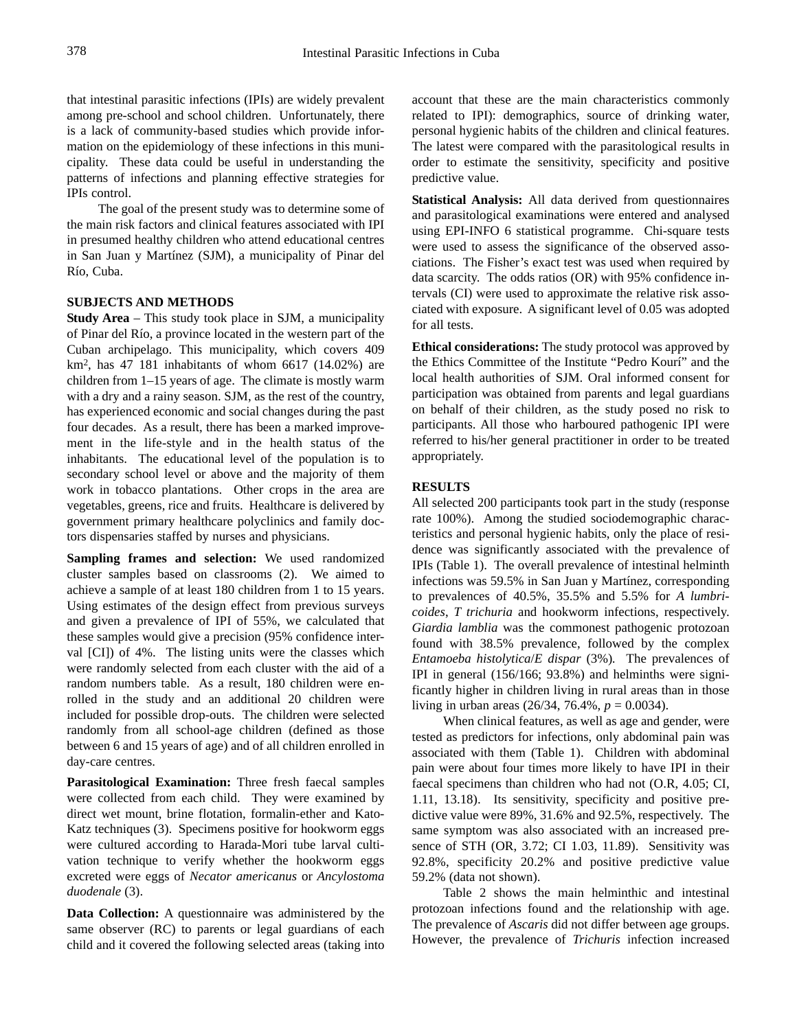that intestinal parasitic infections (IPIs) are widely prevalent among pre-school and school children. Unfortunately, there is a lack of community-based studies which provide information on the epidemiology of these infections in this municipality. These data could be useful in understanding the patterns of infections and planning effective strategies for IPIs control.

The goal of the present study was to determine some of the main risk factors and clinical features associated with IPI in presumed healthy children who attend educational centres in San Juan y Martínez (SJM), a municipality of Pinar del Río, Cuba.

### **SUBJECTS AND METHODS**

**Study Area** – This study took place in SJM, a municipality of Pinar del Río, a province located in the western part of the Cuban archipelago. This municipality, which covers 409  $km<sup>2</sup>$ , has 47 181 inhabitants of whom 6617 (14.02%) are children from 1–15 years of age. The climate is mostly warm with a dry and a rainy season. SJM, as the rest of the country, has experienced economic and social changes during the past four decades. As a result, there has been a marked improvement in the life-style and in the health status of the inhabitants. The educational level of the population is to secondary school level or above and the majority of them work in tobacco plantations. Other crops in the area are vegetables, greens, rice and fruits. Healthcare is delivered by government primary healthcare polyclinics and family doctors dispensaries staffed by nurses and physicians.

**Sampling frames and selection:** We used randomized cluster samples based on classrooms (2). We aimed to achieve a sample of at least 180 children from 1 to 15 years. Using estimates of the design effect from previous surveys and given a prevalence of IPI of 55%, we calculated that these samples would give a precision (95% confidence interval [CI]) of 4%. The listing units were the classes which were randomly selected from each cluster with the aid of a random numbers table. As a result, 180 children were enrolled in the study and an additional 20 children were included for possible drop-outs. The children were selected randomly from all school-age children (defined as those between 6 and 15 years of age) and of all children enrolled in day-care centres.

**Parasitological Examination:** Three fresh faecal samples were collected from each child. They were examined by direct wet mount, brine flotation, formalin-ether and Kato-Katz techniques (3). Specimens positive for hookworm eggs were cultured according to Harada-Mori tube larval cultivation technique to verify whether the hookworm eggs excreted were eggs of *Necator americanus* or *Ancylostoma duodenale* (3).

**Data Collection:** A questionnaire was administered by the same observer (RC) to parents or legal guardians of each child and it covered the following selected areas (taking into account that these are the main characteristics commonly related to IPI): demographics, source of drinking water, personal hygienic habits of the children and clinical features. The latest were compared with the parasitological results in order to estimate the sensitivity, specificity and positive predictive value.

**Statistical Analysis:** All data derived from questionnaires and parasitological examinations were entered and analysed using EPI-INFO 6 statistical programme. Chi-square tests were used to assess the significance of the observed associations. The Fisher's exact test was used when required by data scarcity. The odds ratios (OR) with 95% confidence intervals (CI) were used to approximate the relative risk associated with exposure. A significant level of 0.05 was adopted for all tests.

**Ethical considerations:** The study protocol was approved by the Ethics Committee of the Institute "Pedro Kourí" and the local health authorities of SJM. Oral informed consent for participation was obtained from parents and legal guardians on behalf of their children, as the study posed no risk to participants. All those who harboured pathogenic IPI were referred to his/her general practitioner in order to be treated appropriately.

### **RESULTS**

All selected 200 participants took part in the study (response rate 100%). Among the studied sociodemographic characteristics and personal hygienic habits, only the place of residence was significantly associated with the prevalence of IPIs (Table 1). The overall prevalence of intestinal helminth infections was 59.5% in San Juan y Martínez, corresponding to prevalences of 40.5%, 35.5% and 5.5% for *A lumbricoides*, *T trichuria* and hookworm infections, respectively. *Giardia lamblia* was the commonest pathogenic protozoan found with 38.5% prevalence, followed by the complex *Entamoeba histolytica*/*E dispar* (3%)*.* The prevalences of IPI in general (156/166; 93.8%) and helminths were significantly higher in children living in rural areas than in those living in urban areas (26/34, 76.4%, *p* = 0.0034).

When clinical features, as well as age and gender, were tested as predictors for infections, only abdominal pain was associated with them (Table 1). Children with abdominal pain were about four times more likely to have IPI in their faecal specimens than children who had not (O.R, 4.05; CI, 1.11, 13.18). Its sensitivity, specificity and positive predictive value were 89%, 31.6% and 92.5%, respectively. The same symptom was also associated with an increased presence of STH (OR, 3.72; CI 1.03, 11.89). Sensitivity was 92.8%, specificity 20.2% and positive predictive value 59.2% (data not shown).

Table 2 shows the main helminthic and intestinal protozoan infections found and the relationship with age. The prevalence of *Ascaris* did not differ between age groups. However, the prevalence of *Trichuris* infection increased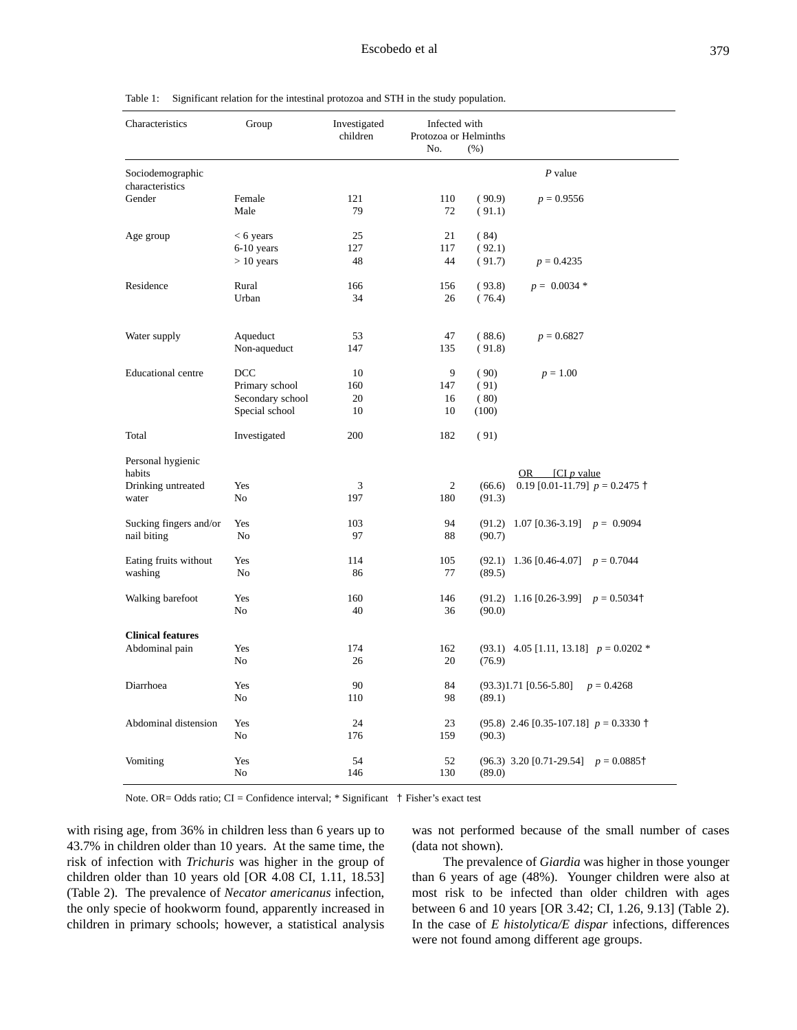#### Table 1: Significant relation for the intestinal protozoa and STH in the study population.

| Characteristics                     | Group                 | Investigated<br>children | Infected with<br>Protozoa or Helminths<br>No.<br>(% ) |        |                                                      |
|-------------------------------------|-----------------------|--------------------------|-------------------------------------------------------|--------|------------------------------------------------------|
| Sociodemographic<br>characteristics |                       |                          |                                                       |        | $P$ value                                            |
| Gender                              | Female                | 121                      | 110                                                   | (90.9) | $p = 0.9556$                                         |
|                                     | Male                  | 79                       | 72                                                    | (91.1) |                                                      |
| Age group                           | $< 6$ years           | 25                       | 21                                                    | (84)   |                                                      |
|                                     | 6-10 years            | 127                      | 117                                                   | (92.1) |                                                      |
|                                     | $> 10$ years          | 48                       | 44                                                    | (91.7) | $p = 0.4235$                                         |
| Residence                           | Rural                 | 166                      | 156                                                   | (93.8) | $p = 0.0034$ *                                       |
|                                     | Urban                 | 34                       | 26                                                    | (76.4) |                                                      |
| Water supply                        | Aqueduct              | 53                       | 47                                                    | (88.6) | $p = 0.6827$                                         |
|                                     | Non-aqueduct          | 147                      | 135                                                   | (91.8) |                                                      |
| <b>Educational</b> centre           | DCC                   | 10                       | 9                                                     | (90)   | $p = 1.00$                                           |
|                                     | Primary school        | 160                      | 147                                                   | (91)   |                                                      |
|                                     | Secondary school      | 20                       | 16                                                    | (80)   |                                                      |
|                                     | Special school        | 10                       | 10                                                    | (100)  |                                                      |
| Total                               | Investigated          | 200                      | 182                                                   | (91)   |                                                      |
| Personal hygienic                   |                       |                          |                                                       |        |                                                      |
| habits                              |                       |                          |                                                       |        | OR $\left[ \text{CI } p \text{ value} \right]$       |
| Drinking untreated<br>water         | Yes<br>N <sub>o</sub> | 3<br>197                 | $\mathfrak{2}$<br>180                                 | (66.6) | 0.19 [0.01-11.79] $p = 0.2475$ †                     |
|                                     |                       |                          |                                                       | (91.3) |                                                      |
| Sucking fingers and/or              | Yes                   | 103                      | 94                                                    | (91.2) | 1.07 [0.36-3.19] $p = 0.9094$                        |
| nail biting                         | N <sub>0</sub>        | 97                       | 88                                                    | (90.7) |                                                      |
| Eating fruits without               | Yes                   | 114                      | 105                                                   |        | $(92.1)$ 1.36 [0.46-4.07] $p = 0.7044$               |
| washing                             | N <sub>o</sub>        | 86                       | 77                                                    | (89.5) |                                                      |
| Walking barefoot                    | Yes                   | 160                      | 146                                                   |        | $(91.2)$ 1.16 [0.26-3.99] $p = 0.5034$ <sup>+</sup>  |
|                                     | N <sub>o</sub>        | 40                       | 36                                                    | (90.0) |                                                      |
| <b>Clinical features</b>            |                       |                          |                                                       |        |                                                      |
| Abdominal pain                      | Yes                   | 174                      | 162                                                   |        | $(93.1)$ 4.05 [1.11, 13.18] $p = 0.0202$ *           |
|                                     | No                    | 26                       | 20                                                    | (76.9) |                                                      |
| Diarrhoea                           | Yes                   | 90                       | 84                                                    |        | $(93.3)1.71$ [0.56-5.80]<br>$p = 0.4268$             |
|                                     | No                    | 110                      | 98                                                    | (89.1) |                                                      |
| Abdominal distension                | Yes                   | 24                       | 23                                                    |        | $(95.8)$ 2.46 [0.35-107.18] $p = 0.3330$ +           |
|                                     | No                    | 176                      | 159                                                   | (90.3) |                                                      |
| Vomiting                            | Yes                   | 54                       | 52                                                    |        | $(96.3)$ 3.20 [0.71-29.54] $p = 0.0885$ <sup>+</sup> |
|                                     | N <sub>o</sub>        | 146                      | 130                                                   | (89.0) |                                                      |

Note. OR= Odds ratio; CI = Confidence interval; \* Significant † Fisher's exact test

with rising age, from 36% in children less than 6 years up to 43.7% in children older than 10 years. At the same time, the risk of infection with *Trichuris* was higher in the group of children older than 10 years old [OR 4.08 CI, 1.11, 18.53] (Table 2). The prevalence of *Necator americanus* infection, the only specie of hookworm found, apparently increased in children in primary schools; however, a statistical analysis was not performed because of the small number of cases (data not shown).

The prevalence of *Giardia* was higher in those younger than 6 years of age (48%). Younger children were also at most risk to be infected than older children with ages between 6 and 10 years [OR 3.42; CI, 1.26, 9.13] (Table 2). In the case of *E histolytica/E dispar* infections, differences were not found among different age groups.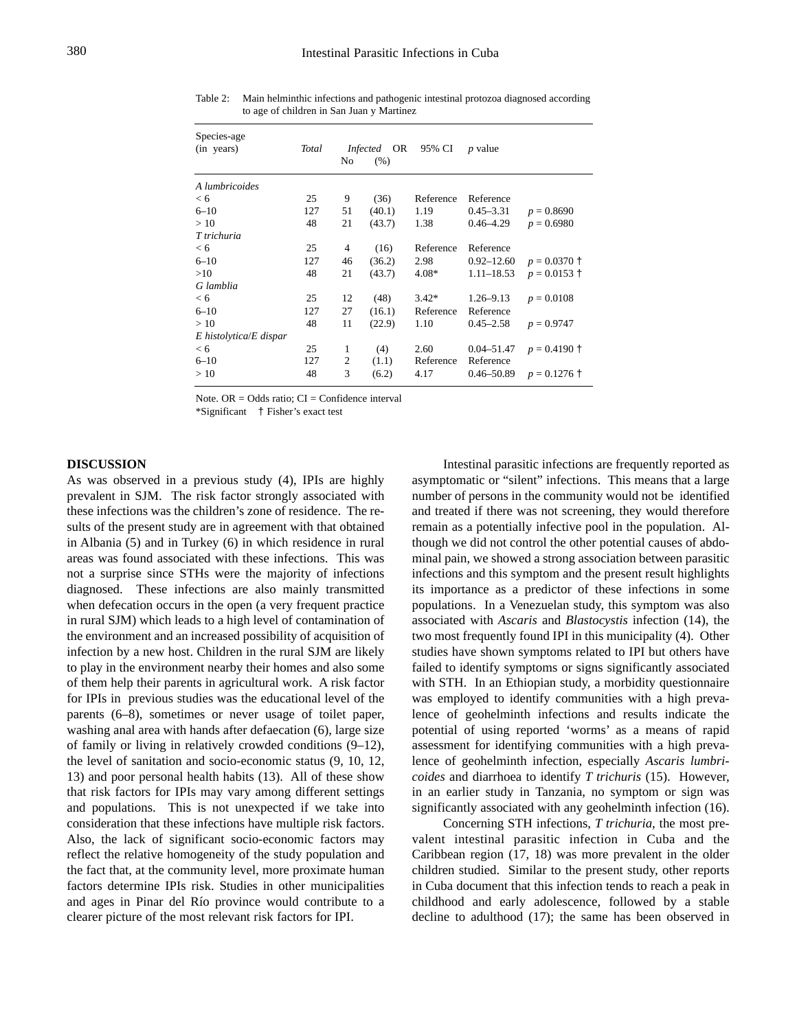| Species-age<br>(in years)   | Total | No             | OR<br><i>Infected</i><br>(% ) | 95% CI    | <i>p</i> value |                |
|-----------------------------|-------|----------------|-------------------------------|-----------|----------------|----------------|
| A lumbricoides              |       |                |                               |           |                |                |
| < 6                         | 25    | 9              | (36)                          | Reference | Reference      |                |
| $6 - 10$                    | 127   | 51             | (40.1)                        | 1.19      | $0.45 - 3.31$  | $p = 0.8690$   |
| >10                         | 48    | 21             | (43.7)                        | 1.38      | $0.46 - 4.29$  | $p = 0.6980$   |
| T trichuria                 |       |                |                               |           |                |                |
| < 6                         | 25    | $\overline{4}$ | (16)                          | Reference | Reference      |                |
| $6 - 10$                    | 127   | 46             | (36.2)                        | 2.98      | $0.92 - 12.60$ | $p = 0.0370$ † |
| >10                         | 48    | 21             | (43.7)                        | $4.08*$   | $1.11 - 18.53$ | $p = 0.0153$ † |
| G lamblia                   |       |                |                               |           |                |                |
| < 6                         | 25    | 12             | (48)                          | $3.42*$   | $1.26 - 9.13$  | $p = 0.0108$   |
| $6 - 10$                    | 127   | 27             | (16.1)                        | Reference | Reference      |                |
| >10                         | 48    | 11             | (22.9)                        | 1.10      | $0.45 - 2.58$  | $p = 0.9747$   |
| $E$ histolytica/ $E$ dispar |       |                |                               |           |                |                |
| < 6                         | 25    | 1              | (4)                           | 2.60      | $0.04 - 51.47$ | $p = 0.4190$ † |
| $6 - 10$                    | 127   | 2              | (1.1)                         | Reference | Reference      |                |
| >10                         | 48    | 3              | (6.2)                         | 4.17      | 0.46–50.89     | $p = 0.1276$ † |

Table 2: Main helminthic infections and pathogenic intestinal protozoa diagnosed according to age of children in San Juan y Martinez

Note.  $OR = Odds$  ratio;  $CI = Confidence$  interval

\*Significant † Fisher's exact test

#### **DISCUSSION**

As was observed in a previous study (4), IPIs are highly prevalent in SJM. The risk factor strongly associated with these infections was the children's zone of residence. The results of the present study are in agreement with that obtained in Albania (5) and in Turkey (6) in which residence in rural areas was found associated with these infections. This was not a surprise since STHs were the majority of infections diagnosed. These infections are also mainly transmitted when defecation occurs in the open (a very frequent practice in rural SJM) which leads to a high level of contamination of the environment and an increased possibility of acquisition of infection by a new host. Children in the rural SJM are likely to play in the environment nearby their homes and also some of them help their parents in agricultural work. A risk factor for IPIs in previous studies was the educational level of the parents (6–8), sometimes or never usage of toilet paper, washing anal area with hands after defaecation (6), large size of family or living in relatively crowded conditions (9–12), the level of sanitation and socio-economic status (9, 10, 12, 13) and poor personal health habits (13). All of these show that risk factors for IPIs may vary among different settings and populations. This is not unexpected if we take into consideration that these infections have multiple risk factors. Also, the lack of significant socio-economic factors may reflect the relative homogeneity of the study population and the fact that, at the community level, more proximate human factors determine IPIs risk. Studies in other municipalities and ages in Pinar del Río province would contribute to a clearer picture of the most relevant risk factors for IPI.

Intestinal parasitic infections are frequently reported as asymptomatic or "silent" infections. This means that a large number of persons in the community would not be identified and treated if there was not screening, they would therefore remain as a potentially infective pool in the population. Although we did not control the other potential causes of abdominal pain, we showed a strong association between parasitic infections and this symptom and the present result highlights its importance as a predictor of these infections in some populations. In a Venezuelan study, this symptom was also associated with *Ascaris* and *Blastocystis* infection (14), the two most frequently found IPI in this municipality (4). Other studies have shown symptoms related to IPI but others have failed to identify symptoms or signs significantly associated with STH. In an Ethiopian study, a morbidity questionnaire was employed to identify communities with a high prevalence of geohelminth infections and results indicate the potential of using reported 'worms' as a means of rapid assessment for identifying communities with a high prevalence of geohelminth infection, especially *Ascaris lumbricoides* and diarrhoea to identify *T trichuris* (15). However, in an earlier study in Tanzania, no symptom or sign was significantly associated with any geohelminth infection (16).

Concerning STH infections, *T trichuria*, the most prevalent intestinal parasitic infection in Cuba and the Caribbean region (17, 18) was more prevalent in the older children studied. Similar to the present study, other reports in Cuba document that this infection tends to reach a peak in childhood and early adolescence, followed by a stable decline to adulthood (17); the same has been observed in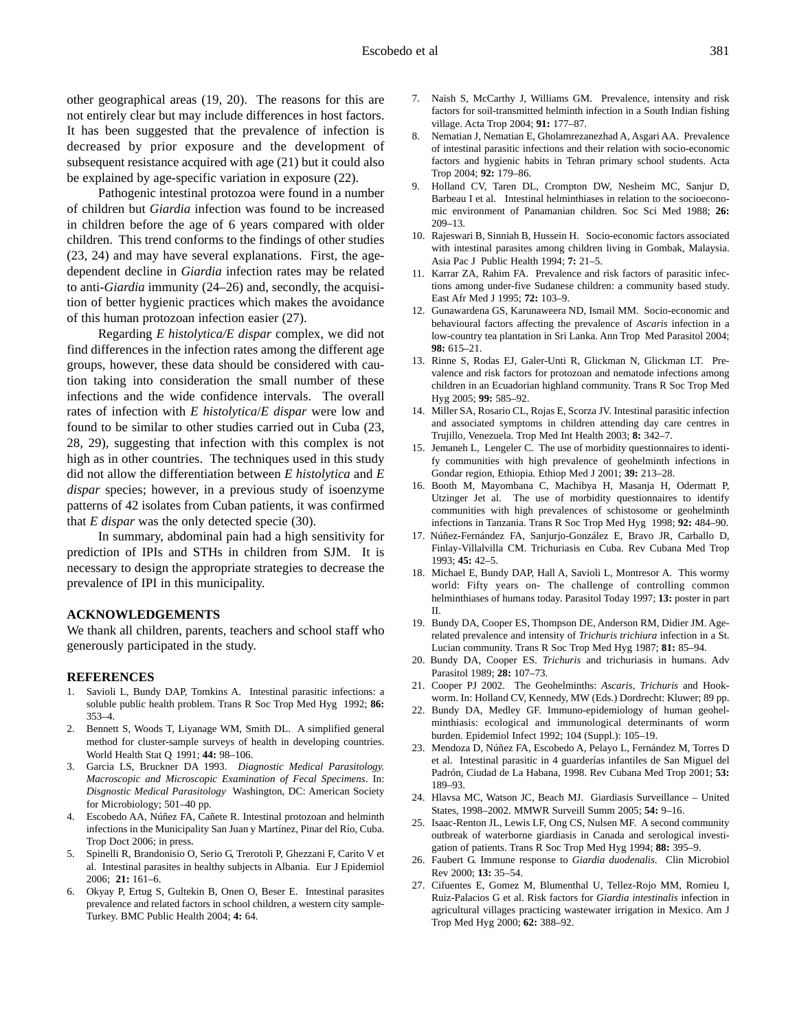other geographical areas (19, 20). The reasons for this are not entirely clear but may include differences in host factors. It has been suggested that the prevalence of infection is decreased by prior exposure and the development of subsequent resistance acquired with age (21) but it could also be explained by age-specific variation in exposure (22).

Pathogenic intestinal protozoa were found in a number of children but *Giardia* infection was found to be increased in children before the age of 6 years compared with older children. This trend conforms to the findings of other studies (23, 24) and may have several explanations. First, the agedependent decline in *Giardia* infection rates may be related to anti-*Giardia* immunity (24–26) and, secondly, the acquisition of better hygienic practices which makes the avoidance of this human protozoan infection easier (27).

Regarding *E histolytica/E dispar* complex, we did not find differences in the infection rates among the different age groups, however, these data should be considered with caution taking into consideration the small number of these infections and the wide confidence intervals. The overall rates of infection with *E histolytica*/*E dispar* were low and found to be similar to other studies carried out in Cuba (23, 28, 29), suggesting that infection with this complex is not high as in other countries. The techniques used in this study did not allow the differentiation between *E histolytica* and *E dispar* species; however, in a previous study of isoenzyme patterns of 42 isolates from Cuban patients, it was confirmed that *E dispar* was the only detected specie (30).

In summary, abdominal pain had a high sensitivity for prediction of IPIs and STHs in children from SJM. It is necessary to design the appropriate strategies to decrease the prevalence of IPI in this municipality.

## **ACKNOWLEDGEMENTS**

We thank all children, parents, teachers and school staff who generously participated in the study.

#### **REFERENCES**

- 1. Savioli L, Bundy DAP, Tomkins A. Intestinal parasitic infections: a soluble public health problem. Trans R Soc Trop Med Hyg 1992; **86:** 353–4.
- 2. Bennett S, Woods T, Liyanage WM, Smith DL. A simplified general method for cluster-sample surveys of health in developing countries. World Health Stat Q 1991; **44:** 98–106.
- 3. Garcia LS, Bruckner DA 1993. *Diagnostic Medical Parasitology. Macroscopic and Microscopic Examination of Fecal Specimens*. In: *Disgnostic Medical Parasitology* Washington, DC: American Society for Microbiology; 501–40 pp.
- 4. Escobedo AA, Núñez FA, Cañete R. Intestinal protozoan and helminth infections in the Municipality San Juan y Martínez, Pinar del Río, Cuba. Trop Doct 2006; in press.
- 5. Spinelli R, Brandonisio O, Serio G, Trerotoli P, Ghezzani F, Carito V et al. Intestinal parasites in healthy subjects in Albania. Eur J Epidemiol 2006; **21:** 161–6.
- 6. Okyay P, Ertug S, Gultekin B, Onen O, Beser E. Intestinal parasites prevalence and related factors in school children, a western city sample-Turkey. BMC Public Health 2004; **4:** 64.
- 7. Naish S, McCarthy J, Williams GM. Prevalence, intensity and risk factors for soil-transmitted helminth infection in a South Indian fishing village. Acta Trop 2004; **91:** 177–87.
- 8. Nematian J, Nematian E, Gholamrezanezhad A, Asgari AA. Prevalence of intestinal parasitic infections and their relation with socio-economic factors and hygienic habits in Tehran primary school students. Acta Trop 2004; **92:** 179–86.
- 9. Holland CV, Taren DL, Crompton DW, Nesheim MC, Sanjur D, Barbeau I et al. Intestinal helminthiases in relation to the socioeconomic environment of Panamanian children. Soc Sci Med 1988; **26:** 209–13.
- 10. Rajeswari B, Sinniah B, Hussein H. Socio-economic factors associated with intestinal parasites among children living in Gombak, Malaysia. Asia Pac J Public Health 1994; **7:** 21–5.
- 11. Karrar ZA, Rahim FA. Prevalence and risk factors of parasitic infections among under-five Sudanese children: a community based study. East Afr Med J 1995; **72:** 103–9.
- 12. Gunawardena GS, Karunaweera ND, Ismail MM. Socio-economic and behavioural factors affecting the prevalence of *Ascaris* infection in a low-country tea plantation in Sri Lanka. Ann Trop Med Parasitol 2004; **98:** 615–21.
- 13. Rinne S, Rodas EJ, Galer-Unti R, Glickman N, Glickman LT. Prevalence and risk factors for protozoan and nematode infections among children in an Ecuadorian highland community. Trans R Soc Trop Med Hyg 2005; **99:** 585–92.
- 14. Miller SA, Rosario CL, Rojas E, Scorza JV. Intestinal parasitic infection and associated symptoms in children attending day care centres in Trujillo, Venezuela. Trop Med Int Health 2003; **8:** 342–7.
- 15. Jemaneh L, Lengeler C. The use of morbidity questionnaires to identify communities with high prevalence of geohelminth infections in Gondar region, Ethiopia*.* Ethiop Med J 2001; **39:** 213–28.
- 16. Booth M, Mayombana C, Machibya H, Masanja H, Odermatt P, Utzinger Jet al. The use of morbidity questionnaires to identify communities with high prevalences of schistosome or geohelminth infections in Tanzania. Trans R Soc Trop Med Hyg 1998; **92:** 484–90.
- 17. Núñez-Fernández FA, Sanjurjo-González E, Bravo JR, Carballo D, Finlay-Villalvilla CM. Trichuriasis en Cuba. Rev Cubana Med Trop 1993; **45:** 42–5.
- 18. Michael E, Bundy DAP, Hall A, Savioli L, Montresor A. This wormy world: Fifty years on- The challenge of controlling common helminthiases of humans today. Parasitol Today 1997; **13:** poster in part II.
- 19. Bundy DA, Cooper ES, Thompson DE, Anderson RM, Didier JM. Agerelated prevalence and intensity of *Trichuris trichiura* infection in a St. Lucian community. Trans R Soc Trop Med Hyg 1987; **81:** 85–94.
- 20. Bundy DA, Cooper ES. *Trichuris* and trichuriasis in humans. Adv Parasitol 1989; **28:** 107–73.
- 21. Cooper PJ 2002. The Geohelminths: *Ascaris, Trichuris* and Hookworm. In: Holland CV, Kennedy, MW (Eds.) Dordrecht: Kluwer; 89 pp.
- 22. Bundy DA, Medley GF. Immuno-epidemiology of human geohelminthiasis: ecological and immunological determinants of worm burden. Epidemiol Infect 1992; 104 (Suppl.): 105–19.
- 23. Mendoza D, Núñez FA, Escobedo A, Pelayo L, Fernández M, Torres D et al. Intestinal parasitic in 4 guarderías infantiles de San Miguel del Padrón, Ciudad de La Habana, 1998. Rev Cubana Med Trop 2001; **53:** 189–93.
- 24. Hlavsa MC, Watson JC, Beach MJ. Giardiasis Surveillance United States, 1998–2002. MMWR Surveill Summ 2005; **54:** 9–16.
- 25. Isaac-Renton JL, Lewis LF, Ong CS, Nulsen MF. A second community outbreak of waterborne giardiasis in Canada and serological investigation of patients. Trans R Soc Trop Med Hyg 1994; **88:** 395–9.
- 26. Faubert G. Immune response to *Giardia duodenalis*. Clin Microbiol Rev 2000; **13:** 35–54.
- 27. Cifuentes E, Gomez M, Blumenthal U, Tellez-Rojo MM, Romieu I, Ruiz-Palacios G et al. Risk factors for *Giardia intestinalis* infection in agricultural villages practicing wastewater irrigation in Mexico. Am J Trop Med Hyg 2000; **62:** 388–92.